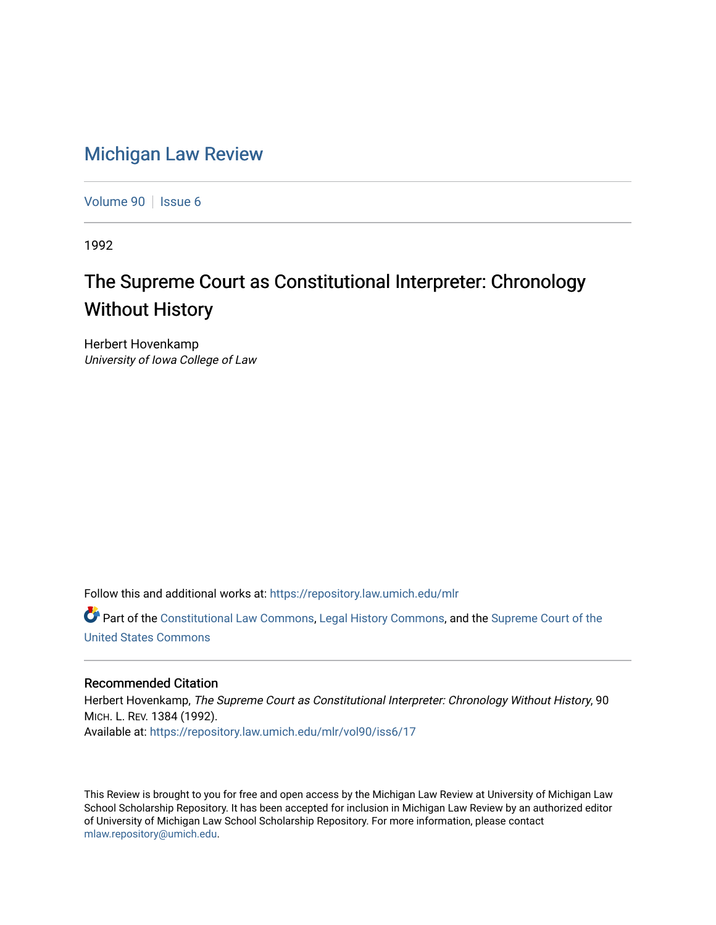## [Michigan Law Review](https://repository.law.umich.edu/mlr)

[Volume 90](https://repository.law.umich.edu/mlr/vol90) | [Issue 6](https://repository.law.umich.edu/mlr/vol90/iss6)

1992

# The Supreme Court as Constitutional Interpreter: Chronology Without History

Herbert Hovenkamp University of Iowa College of Law

Follow this and additional works at: [https://repository.law.umich.edu/mlr](https://repository.law.umich.edu/mlr?utm_source=repository.law.umich.edu%2Fmlr%2Fvol90%2Fiss6%2F17&utm_medium=PDF&utm_campaign=PDFCoverPages) 

Part of the [Constitutional Law Commons,](http://network.bepress.com/hgg/discipline/589?utm_source=repository.law.umich.edu%2Fmlr%2Fvol90%2Fiss6%2F17&utm_medium=PDF&utm_campaign=PDFCoverPages) [Legal History Commons](http://network.bepress.com/hgg/discipline/904?utm_source=repository.law.umich.edu%2Fmlr%2Fvol90%2Fiss6%2F17&utm_medium=PDF&utm_campaign=PDFCoverPages), and the [Supreme Court of the](http://network.bepress.com/hgg/discipline/1350?utm_source=repository.law.umich.edu%2Fmlr%2Fvol90%2Fiss6%2F17&utm_medium=PDF&utm_campaign=PDFCoverPages) [United States Commons](http://network.bepress.com/hgg/discipline/1350?utm_source=repository.law.umich.edu%2Fmlr%2Fvol90%2Fiss6%2F17&utm_medium=PDF&utm_campaign=PDFCoverPages) 

#### Recommended Citation

Herbert Hovenkamp, The Supreme Court as Constitutional Interpreter: Chronology Without History, 90 MICH. L. REV. 1384 (1992). Available at: [https://repository.law.umich.edu/mlr/vol90/iss6/17](https://repository.law.umich.edu/mlr/vol90/iss6/17?utm_source=repository.law.umich.edu%2Fmlr%2Fvol90%2Fiss6%2F17&utm_medium=PDF&utm_campaign=PDFCoverPages) 

This Review is brought to you for free and open access by the Michigan Law Review at University of Michigan Law School Scholarship Repository. It has been accepted for inclusion in Michigan Law Review by an authorized editor of University of Michigan Law School Scholarship Repository. For more information, please contact [mlaw.repository@umich.edu.](mailto:mlaw.repository@umich.edu)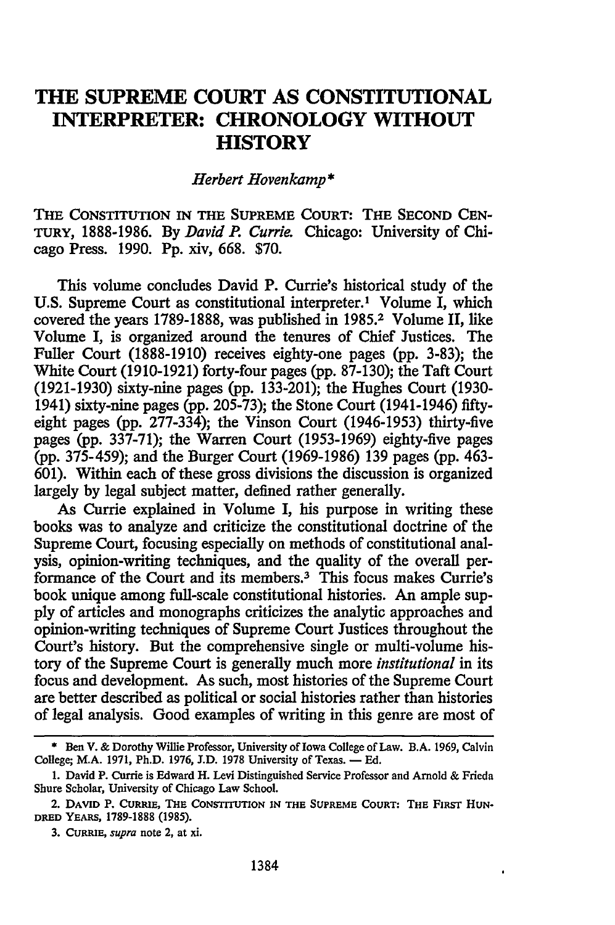### **THE SUPREME COURT AS CONSTITUTIONAL INTERPRETER: CHRONOLOGY WITHOUT HISTORY**

#### *Herbert Hovenkamp\**

THE CONSTITUTION IN THE SUPREME COURT: THE SECOND CEN-TURY, 1888-1986. By *David P. Currie.* Chicago: University of Chicago Press. 1990. Pp. xiv, 668. \$70.

This volume concludes David P. Currie's historical study of the U.S. Supreme Court as constitutional interpreter.<sup>1</sup> Volume  $\dot{I}$ , which covered the years 1789-1888, was published in 1985.2 Volume II, like Volume I, is organized around the tenures of Chief Justices. The Fuller Court (1888-1910) receives eighty-one pages (pp. 3-83); the White Court (1910-1921) forty-four pages (pp. 87-130); the Taft Court (1921-1930) sixty-nine pages (pp. 133-201); the Hughes Court (1930- 1941) sixty-nine pages (pp. 205-73); the Stone Court (1941-1946) fiftyeight pages (pp. 277-334); the Vinson Court (1946-1953) thirty-five pages (pp. 337-71); the Warren Court (1953-1969) eighty-five pages (pp. 375-459); and the Burger Court (1969-1986) 139 pages (pp. 463- 601). Within each of these gross divisions the discussion is organized largely by legal subject matter, defined rather generally.

As Currie explained in Volume I, his purpose in writing these books was to analyze and criticize the constitutional doctrine of the Supreme Court, focusing especially on methods of constitutional analysis, opinion-writing techniques, and the quality of the overall performance of the Court and its members.<sup>3</sup> This focus makes Currie's book unique among full-scale constitutional histories. An ample supply of articles and monographs criticizes the analytic approaches and opinion-writing techniques of Supreme Court Justices throughout the Court's history. But the comprehensive single or multi-volume history of the Supreme Court is generally much more *institutional* in its focus and development. As such, most histories of the Supreme Court are better described as political or social histories rather than histories of legal analysis. Good examples of writing in this genre are most of

 $\lambda$ 

<sup>\*</sup> Ben V. & Dorothy Willie Professor, University of Iowa College of Law. B.A. 1969, Calvin College; M.A. 1971, Ph.D. 1976, J.D. 1978 University of Texas. - Ed.

<sup>1.</sup> David P. Currie is Edward H. Levi Distinguished Service Professor and Arnold & Frieda Shure Scholar, University of Chicago Law School.

<sup>2.</sup> DAVID P. CuRRIE, THE CoNSTITUTION IN THE SUPREME COURT: THE FIRST HUN· DRED YEARS, 1789-1888 (1985).

<sup>3.</sup> CuRRIE, *supra* note 2, at xi.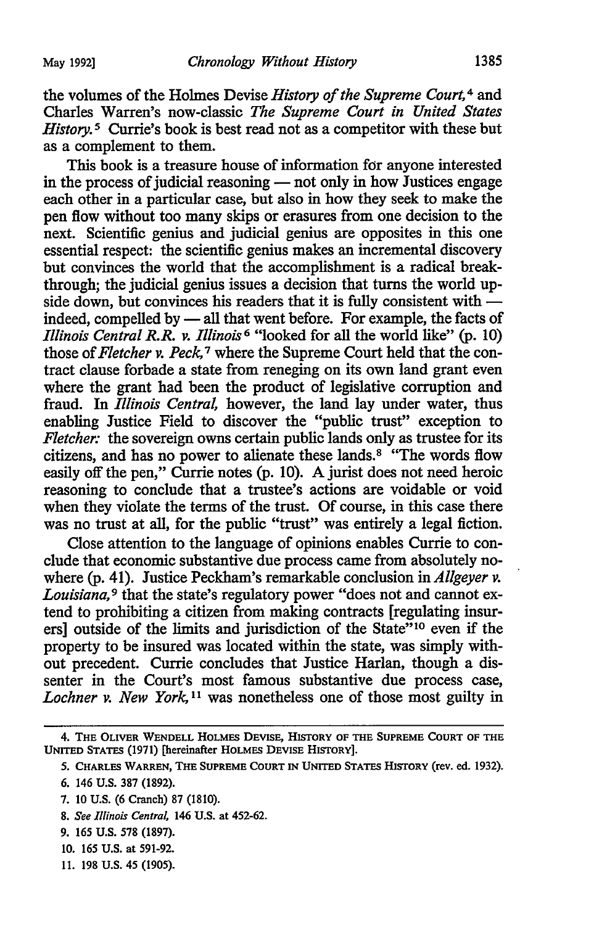the volumes of the Holmes Devise *History of the Supreme Court,* 4 and Charles Warren's now-classic *The Supreme Court in United States History. s* Currie's book is best read not as a competitor with these but as a complement to them.

This book is a treasure house of information for anyone interested in the process of judicial reasoning  $-$  not only in how Justices engage each other in a particular case, but also in how they seek to make the pen flow without too many skips or erasures from one decision to the next. Scientific genius and judicial genius are opposites in this one essential respect: the scientific genius makes an incremental discovery but convinces the world that the accomplishment is a radical breakthrough; the judicial genius issues a decision that turns the world upside down, but convinces his readers that it is fully consistent with  $$ indeed, compelled by — all that went before. For example, the facts of *Illinois Central R.R. v. Illinois* <sup>6</sup>"looked for all the world like" (p. 10) those of *Fletcher v. Peck,* 7 where the Supreme Court held that the contract clause forbade a state from reneging on its own land grant even where the grant had been the product of legislative corruption and fraud. In *Illinois Central,* however, the land lay under water, thus enabling Justice Field to discover the "public trust" exception to *Fletcher*: the sovereign owns certain public lands only as trustee for its citizens, and has no power to alienate these lands. 8 "The words flow easily off the pen," Currie notes (p. 10). A jurist does not need heroic reasoning to conclude that a trustee's actions are voidable or void when they violate the terms of the trust. Of course, in this case there was no trust at all, for the public "trust" was entirely a legal fiction.

Close attention to the language of opinions enables Currie to conclude that economic substantive due process came from absolutely nowhere (p. 41). Justice Peckham's remarkable conclusion in *Allgeyer v. Louisiana,* 9 that the state's regulatory power "does not and cannot extend to prohibiting a citizen from making contracts [regulating insurers] outside of the limits and jurisdiction of the State<sup>710</sup> even if the property to be insured was located within the state, was simply without precedent. Currie concludes that Justice Harlan, though a dissenter in the Court's most famous substantive due process case, *Lochner v. New York,* 11 was nonetheless one of those most guilty in

- 8. *See Illinois Central,* 146 U.S. at 452-62.
- 9. 165 U.S. 578 (1897).
- 10. 165 U.S. at 591-92.
- 11. 198 U.S. 45 (1905).

<sup>4.</sup> THE OLIVER WENDELL HOLMES DEVISE, HISTORY OF THE SUPREME COURT OF THE UNITED STATES (1971) [hereinafter HOLMES DEVISE HISTORY].

*<sup>5.</sup>* CHARLES WARREN, THE SUPREME COURT IN UNITED STATES HISTORY (rev. ed. 1932).

<sup>6. 146</sup> U.S. 387 (1892).

<sup>7. 10</sup> U.S. (6 Cranch) 87 (1810).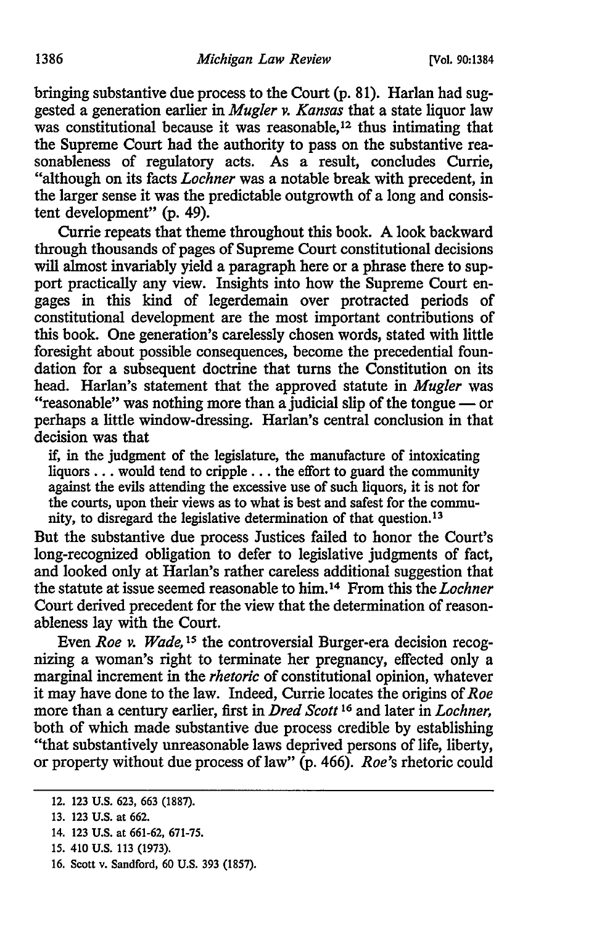bringing substantive due process to the Court (p. 81). Harlan had suggested a generation earlier in *Mug/er v. Kansas* that a state liquor law was constitutional because it was reasonable,<sup>12</sup> thus intimating that the Supreme Court had the authority to pass on the substantive reasonableness of regulatory acts. As a result, concludes Currie, "although on its facts *Lochner* was a notable break with precedent, in the larger sense it was the predictable outgrowth of a long and consistent development" (p. 49).

Currie repeats that theme throughout this book. A look backward through thousands of pages of Supreme Court constitutional decisions will almost invariably yield a paragraph here or a phrase there to support practically any view. Insights into how the Supreme Court engages in this kind of legerdemain over protracted periods of constitutional development are the most important contributions of this book. One generation's carelessly chosen words, stated with little foresight about possible consequences, become the precedential foundation for a subsequent doctrine that turns the Constitution on its head. Harlan's statement that the approved statute in *Mug/er* was "reasonable" was nothing more than a judicial slip of the tongue  $-$  or perhaps a little window-dressing. Harlan's central conclusion in that decision was that

if, in the judgment of the legislature, the manufacture of intoxicating liquors ... would tend to cripple ... the effort to guard the community against the evils attending the excessive use of such liquors, it is not for the courts, upon their views as to what is best and safest for the community, to disregard the legislative determination of that question. <sup>13</sup>

But the substantive due process Justices failed to honor the Court's long-recognized obligation to defer to legislative judgments of fact, and looked only at Harlan's rather careless additional suggestion that the statute at issue seemed reasonable to him. 14 From this the *Lochner*  Court derived precedent for the view that the determination of reasonableness lay with the Court.

Even *Roe v. Wade,* 15 the controversial Burger-era decision recognizing a woman's right to terminate her pregnancy, effected only a marginal increment in the *rhetoric* of constitutional opinion, whatever it may have done to the law. Indeed, Currie locates the origins of *Roe*  more than a century earlier, first in *Dred Scott* 16 and later in *Lochner,*  both of which made substantive due process credible by establishing "that substantively unreasonable laws deprived persons of life, liberty, or property without due process oflaw" (p. 466). *Roe's* rhetoric could

- 14. 123 U.S. at 661-62, 671-75.
- 15. 410 U.S. 113 (1973).
- 16. Scott v. Sandford, 60 U.S. 393 (1857).

<sup>12. 123</sup> U.S. 623, 663 (1887).

<sup>13. 123</sup> U.S. at 662.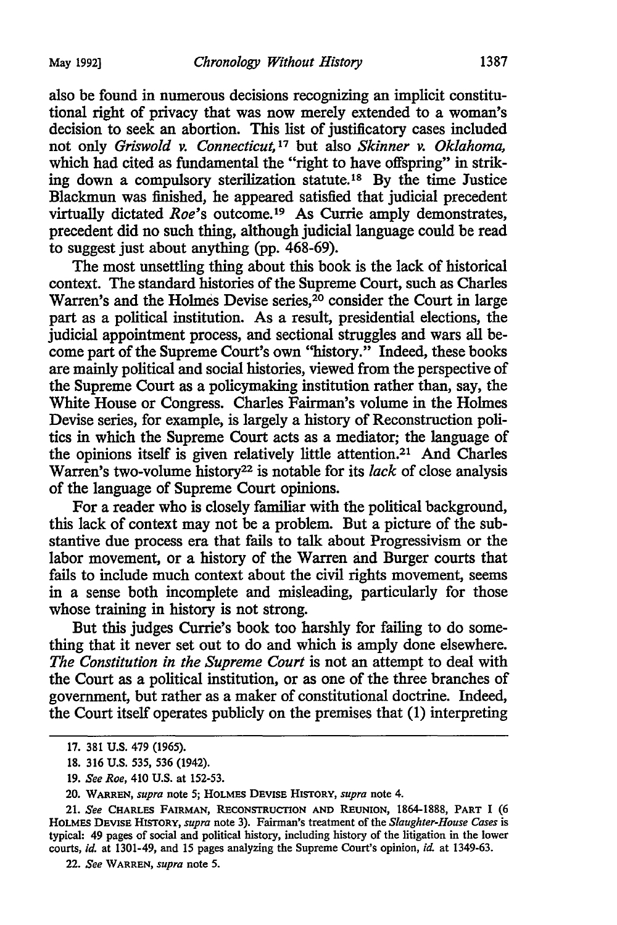also be found in numerous decisions recognizing an implicit constitutional right of privacy that was now merely extended to a woman's decision to seek an abortion. This list of justificatory cases included not only *Griswold v. Connecticut,* 17 but also *Skinner v. Oklahoma,*  which had cited as fundamental the "right to have offspring" in striking down a compulsory sterilization statute. 18 By the time Justice Blackmun was finished, he appeared satisfied that judicial precedent virtually dictated *Roe's* outcome.<sup>19</sup> As Currie amply demonstrates, precedent did no such thing, although judicial language could be read to suggest just about anything (pp. 468-69).

The most unsettling thing about this book is the lack of historical context. The standard histories of the Supreme Court, such as Charles Warren's and the Holmes Devise series,<sup>20</sup> consider the Court in large part as a political institution. As a result, presidential elections, the judicial appointment process, and sectional struggles and wars all become part of the Supreme Court's own ''history." Indeed, these books are mainly political and social histories, viewed from the perspective of the Supreme Court as a policymaking institution rather than, say, the White House or Congress. Charles Fairman's volume in the Holmes Devise series, for example, is largely a history of Reconstruction politics in which the Supreme Court acts as a mediator; the language of the opinions itself is given relatively little attention.21 And Charles Warren's two-volume history22 is notable for its *lack* of close analysis of the language of Supreme Court opinions.

For a reader who is closely familiar with the political background, this lack of context may not be a problem. But a picture of the substantive due process era that fails to talk about Progressivism or the labor movement, or a history of the Warren and Burger courts that fails to include much context about the civil rights movement, seems in a sense both incomplete and misleading, particularly for those whose training in history is not strong.

But this judges Currie's book too harshly for failing to do something that it never set out to do and which is amply done elsewhere. *The Constitution in the Supreme Court* is not an attempt to deal with the Court as a political institution, or as one of the three branches of government, but rather as a maker of constitutional doctrine. Indeed, the Court itself operates publicly on the premises that (1) interpreting

<sup>17. 381</sup> U.S. 479 (1965).

<sup>18. 316</sup> U.S. 535, 536 (1942).

<sup>19.</sup> *See Roe,* 410 U.S. at 152-53.

<sup>20.</sup> w ARREN, *supra* note 5; HOLMES DEVISE HrsrORY, *supra* note 4.

<sup>21.</sup> *See* CHARLES FAIRMAN, RECONSTRUCTION AND REUNION, 1864-1888, PART I (6 HOLMES DEVISE HISrORY, *supra* note 3). Fairman's treatment of the *Slaughter-House Cases* is typical: 49 pages of social and political history, including history of the litigation in the lower courts, *id.* at 1301-49, and 15 pages analyzing the Supreme Court's opinion, *id.* at 1349-63.

<sup>22.</sup> *See* WARREN, *supra* note 5.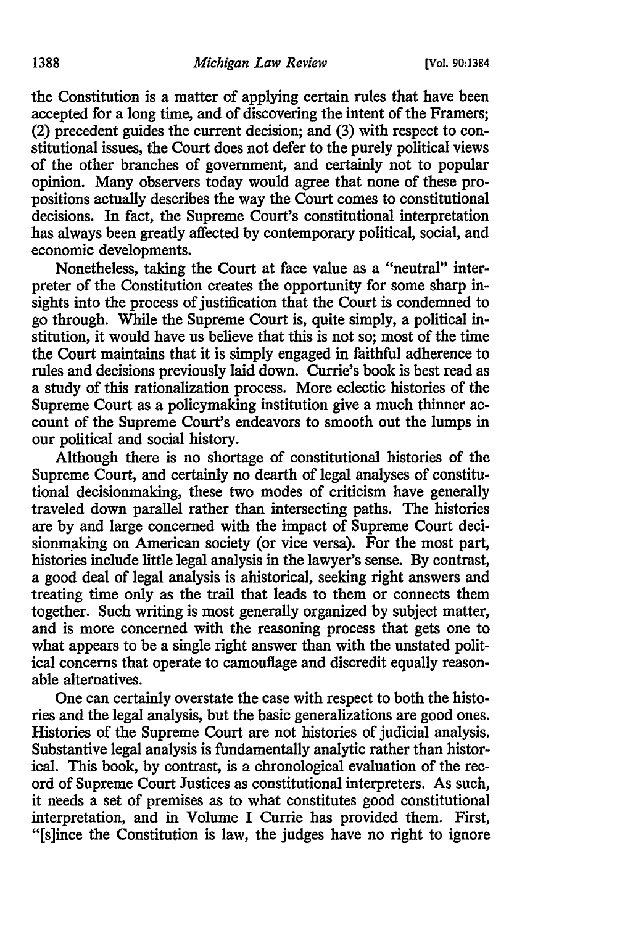the Constitution is a matter of applying certain rules that have been accepted for a long time, and of discovering the intent of the Framers; (2) precedent guides the current decision; and (3) with respect to constitutional issues, the Court does not defer to the purely political views of the other branches of government, and certainly not to popular opinion. Many observers today would agree that none of these propositions actually describes the way the Court comes to constitutional decisions. In fact, the Supreme Court's constitutional interpretation has always been greatly affected by contemporary political, social, and economic developments.

Nonetheless, taking the Court at face value as a "neutral" interpreter of the Constitution creates the opportunity for some sharp insights into the process of justification that the Court is condemned to go through. While the Supreme Court is, quite simply, a political institution, it would have us believe that this is not so; most of the time the Court maintains that it is simply engaged in faithful adherence to rules and decisions previously laid down. Currie's book is best read as a study of this rationalization process. More eclectic histories of the Supreme Court as a policymaking institution give a much thinner account of the Supreme Court's endeavors to smooth out the lumps in our political and social history.

Although there is no shortage of constitutional histories of the Supreme Court, and certainly no dearth of legal analyses of constitutional decisionmaking, these two modes of criticism have generally traveled down parallel rather than intersecting paths. The histories are by and large concerned with the impact of Supreme Court decisionmaking on American society (or vice versa). For the most part, histories include little legal analysis in the lawyer's sense. By contrast, a good deal of legal analysis is ahistorical, seeking right answers and treating time only as the trail that leads to them or connects them together. Such writing is most generally organized by subject matter, and is more concerned with the reasoning process that gets one to what appears to be a single right answer than with the unstated political concerns that operate to camouflage and discredit equally reasonable alternatives.

One can certainly overstate the case with respect to both the histories and the legal analysis, but the basic generalizations are good ones. Histories of the Supreme Court are not histories of judicial analysis. Substantive legal analysis is fundamentally analytic rather than historical. This book, by contrast, is a chronological evaluation of the record of Supreme Court Justices as constitutional interpreters. As such, it needs a set of premises as to what constitutes good constitutional interpretation, and in Volume I Currie has provided them. First, "[s]ince the Constitution is law, the judges have no right to ignore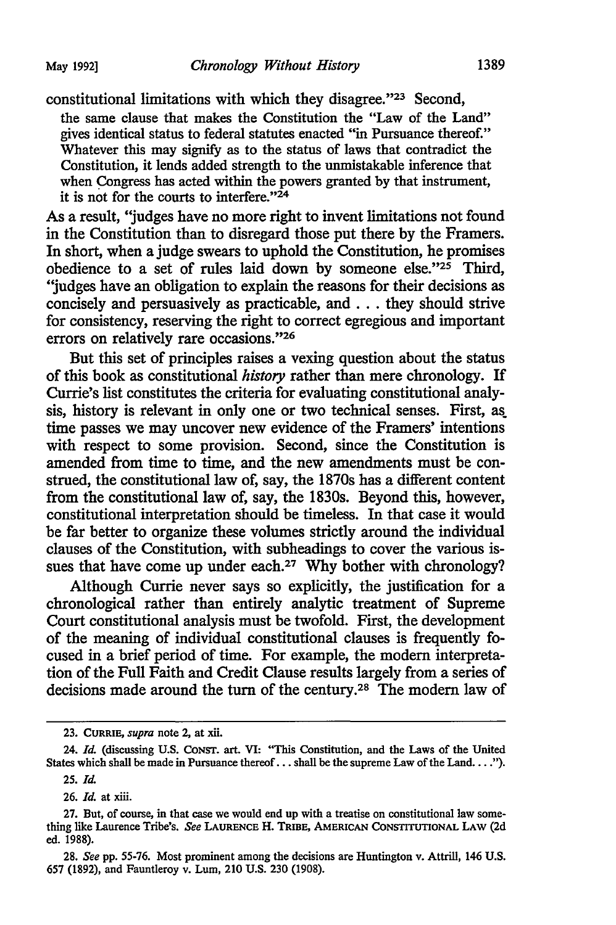constitutional limitations with which they disagree."23 Second,

the same clause that makes the Constitution the "Law of the Land" gives identical status to federal statutes enacted "in Pursuance thereof." Whatever this may signify as to the status of laws that contradict the Constitution, it lends added strength to the unmistakable inference that when Congress has acted within the powers granted by that instrument, it is not for the courts to interfere." $24$ 

As a result, ''judges have no more right to invent limitations not found in the Constitution than to disregard those put there by the Framers. In short, when a judge swears to uphold the Constitution, he promises obedience to a set of rules laid down by someone else." $25$  Third, "judges have an obligation to explain the reasons for their decisions as concisely and persuasively as practicable, and . . . they should strive for consistency, reserving the right to correct egregious and important errors on relatively rare occasions."26

But this set of principles raises a vexing question about the status of this book as constitutional *history* rather than mere chronology. If Currie's list constitutes the criteria for evaluating constitutional analysis, history is relevant in only one or two technical senses. First, as time passes we may uncover new evidence of the Framers' intentions with respect to some provision. Second, since the Constitution is amended from time to time, and the new amendments must be construed, the constitutional law of, say, the 1870s has a different content from the constitutional law of, say, the 1830s. Beyond this, however, constitutional interpretation should be timeless. In that case it would be far better to organize these volumes strictly around the individual clauses of the Constitution, with subheadings to cover the various issues that have come up under each.<sup>27</sup> Why bother with chronology?

Although Currie never says so explicitly, the justification for a chronological rather than entirely analytic treatment of Supreme Court constitutional analysis must be twofold. First, the development of the meaning of individual constitutional clauses is frequently focused in a brief period of time. For example, the modem interpretation of the Full Faith and Credit Clause results largely from a series of decisions made around the tum of the century.28 The modem law of

<sup>23.</sup> CURRIE, *supra* note 2, at xii.

<sup>24.</sup> *Id.* (discussing U.S. CoNsr. art. VI: "This Constitution, and the Laws of the United States which shall be made in Pursuance thereof . . . shall be the supreme Law of the Land. . . .").

<sup>25.</sup> *Id.* 

<sup>26.</sup> *Id.* at xiii.

<sup>27.</sup> But, of course, in that case we would end up with a treatise on constitutional law something like Laurence Tribe's. See LAURENCE H. TRIBE, AMERICAN CONSTITUTIONAL LAW (2d ed. 1988).

<sup>28.</sup> *See* pp. 55-76. Most prominent among the decisions are Huntington v. Attrill, 146 U.S. 657 (1892), and Fauntleroy v. Lum, 210 U.S. 230 (1908).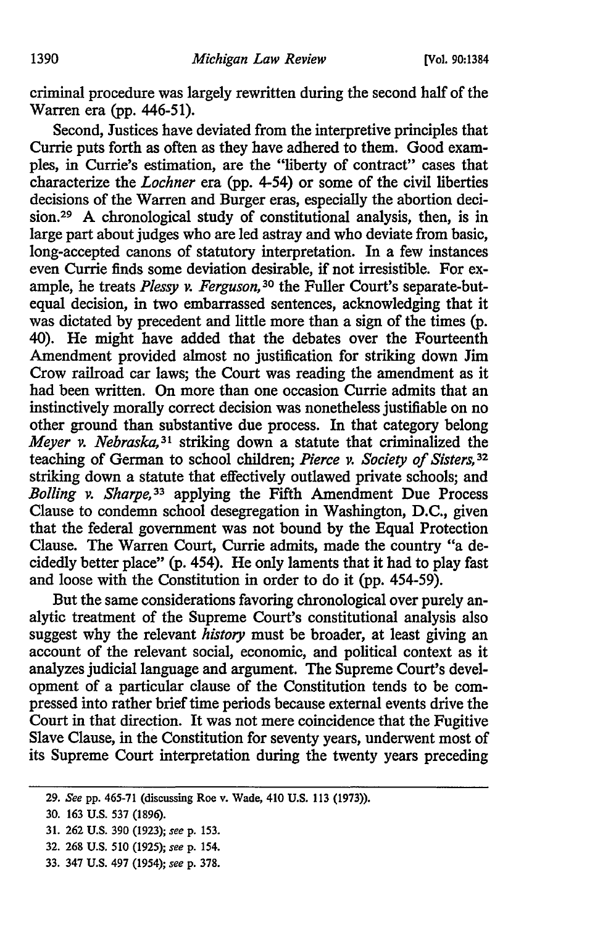criminal procedure was largely rewritten during the second half of the Warren era (pp. 446-51).

Second, Justices have deviated from the interpretive principles that Currie puts forth as often as they have adhered to them. Good examples, in Currie's estimation, are the "liberty of contract" cases that characterize the *Lochner* era (pp. 4-54) or some of the civil liberties decisions of the Warren and Burger eras, especially the abortion decision.29 A chronological study of constitutional analysis, then, is in large part about judges who are led astray and who deviate from basic, long-accepted canons of statutory interpretation. In a few instances even Currie finds some deviation desirable, if not irresistible. For example, he treats *Plessy v. Ferguson,* 30 the Fuller Court's separate-butequal decision, in two embarrassed sentences, acknowledging that it was dictated by precedent and little more than a sign of the times (p. 40). He might have added that the debates over the Fourteenth Amendment provided almost no justification for striking down Jim Crow railroad car laws; the Court was reading the amendment as it had been written. On more than one occasion Currie admits that an instinctively morally correct decision was nonetheless justifiable on no other ground than substantive due process. In that category belong *Meyer v. Nebraska*,<sup>31</sup> striking down a statute that criminalized the teaching of German to school children; *Pierce v. Society of Sisters,* <sup>32</sup> striking down a statute that effectively outlawed private schools; and *Bolling v. Sharpe,* 33 applying the Fifth Amendment Due Process Clause to condemn school desegregation in Washington, D.C., given that the federal government was not bound by the Equal Protection Clause. The Warren Court, Currie admits, made the country "a decidedly better place" (p. 454). He only laments that it had to play fast and loose with the Constitution in order to do it (pp. 454-59).

But the same considerations favoring chronological over purely analytic treatment of the Supreme Court's constitutional analysis also suggest why the relevant *history* must be broader, at least giving an account of the relevant social, economic, and political context as it analyzes judicial language and argument. The Supreme Court's development of a particular clause of the Constitution tends to be compressed into rather brief time periods because external events drive the Court in that direction. It was not mere coincidence that the Fugitive Slave Clause, in the Constitution for seventy years, underwent most of its Supreme Court interpretation during the twenty years preceding

<sup>29.</sup> *See* pp. 465-71 (discussing Roe v. Wade, 410 U.S. 113 (1973)).

<sup>30. 163</sup> U.S. 537 (1896).

<sup>31. 262</sup> U.S. 390 (1923); *seep.* 153.

<sup>32. 268</sup> U.S. 510 (1925); *see* p. 154.

<sup>33. 347</sup> U.S. 497 (1954); *see* p. 378.